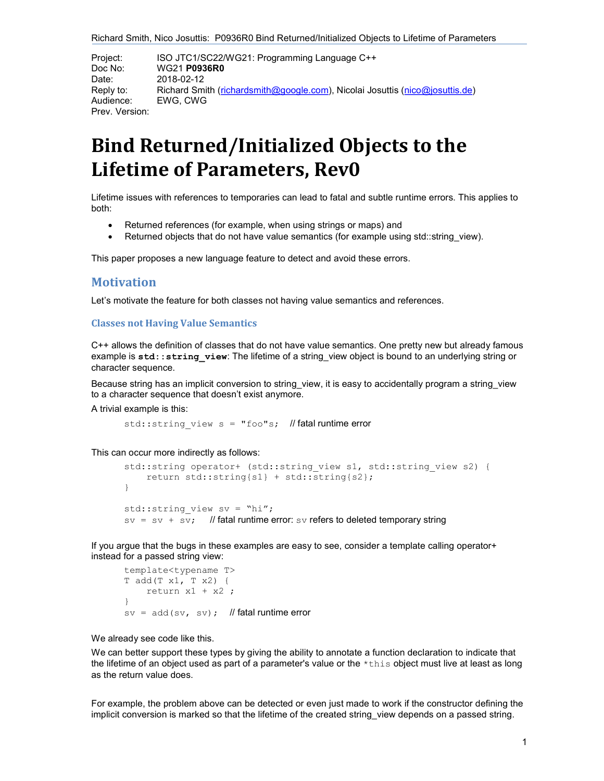Richard Smith, Nico Josuttis: P0936R0 Bind Returned/Initialized Objects to Lifetime of Parameters

Project: ISO JTC1/SC22/WG21: Programming Language C++ Doc No: WG21 P0936R0 Date: 2018-02-12 Reply to: Richard Smith (richardsmith@google.com), Nicolai Josuttis (nico@josuttis.de) Audience: EWG, CWG Prev. Version:

# Bind Returned/Initialized Objects to the Lifetime of Parameters, Rev0

Lifetime issues with references to temporaries can lead to fatal and subtle runtime errors. This applies to both:

- Returned references (for example, when using strings or maps) and
- Returned objects that do not have value semantics (for example using std::string view).

This paper proposes a new language feature to detect and avoid these errors.

# **Motivation**

Let's motivate the feature for both classes not having value semantics and references.

### Classes not Having Value Semantics

C++ allows the definition of classes that do not have value semantics. One pretty new but already famous example is std:: string view: The lifetime of a string view object is bound to an underlying string or character sequence.

Because string has an implicit conversion to string view, it is easy to accidentally program a string view to a character sequence that doesn't exist anymore.

A trivial example is this:

std:: string view  $s = "foo"s;$  // fatal runtime error

This can occur more indirectly as follows:

```
std::string operator+ (std::string_view s1, std::string_view s2) { 
     return std::string{s1} + std::string{s2}; 
} 
std:: string view sv = "hi";
sv = sv + sv; // fatal runtime error: sv refers to deleted temporary string
```
If you argue that the bugs in these examples are easy to see, consider a template calling operator+ instead for a passed string view:

```
template<typename T> 
T add(T x1, T x2) { 
    return x1 + x2;
} 
sv = add(sv, sv); // fatal runtime error
```
We already see code like this.

We can better support these types by giving the ability to annotate a function declaration to indicate that the lifetime of an object used as part of a parameter's value or the \*this object must live at least as long as the return value does.

For example, the problem above can be detected or even just made to work if the constructor defining the implicit conversion is marked so that the lifetime of the created string\_view depends on a passed string.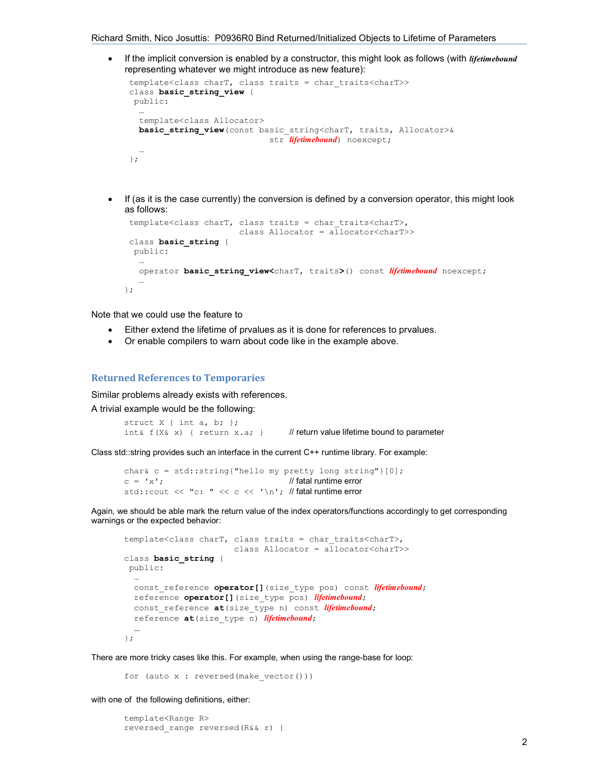Richard Smith, Nico Josuttis: P0936R0 Bind Returned/Initialized Objects to Lifetime of Parameters

If the implicit conversion is enabled by a constructor, this might look as follows (with *lifetimebound* representing whatever we might introduce as new feature):

```
 template<class charT, class traits = char_traits<charT>> 
 class basic_string_view { 
  public: 
   … 
   template<class Allocator> 
  basic string view (const basic string<charT, traits, Allocator>&
                              str lifetimebound) noexcept;
\sim \sim };
```
 $\bullet$  If (as it is the case currently) the conversion is defined by a conversion operator, this might look as follows:

```
 template<class charT, class traits = char_traits<charT>, 
                          class Allocator = a\overline{1}locator<charT>>
 class basic string {
  public: 
    … 
   operator basic string view<charT, traits>() const lifetimebound noexcept;
\sim \sim};
```
Note that we could use the feature to

- Either extend the lifetime of prvalues as it is done for references to prvalues.
- Or enable compilers to warn about code like in the example above.

#### Returned References to Temporaries

Similar problems already exists with references.

A trivial example would be the following:

```
struct X { int a, b; }; 
int f(X_{\alpha} \times) { return X.a; } // return value lifetime bound to parameter
```
Class std::string provides such an interface in the current C++ runtime library. For example:

```
char& c = std::string{"hello my pretty long string"}{"0"c = 'x'; // fatal runtime error
std::cout \lt\lt "c: " \lt\lt c \lt\lt' \ln; // fatal runtime error
```
Again, we should be able mark the return value of the index operators/functions accordingly to get corresponding warnings or the expected behavior:

```
template<class charT, class traits = char traits<charT>,
                        class Allocator = a\overline{1}locator<charT>>
class basic string {
 public: 
 … 
 const reference operator[](size type pos) const lifetimebound;
  reference operator[](size type pos) lifetimebound;
  const reference at(size type n) const lifetimebound;
  reference at(size type n) lifetimebound;
 … 
};
```
There are more tricky cases like this. For example, when using the range-base for loop:

for (auto x : reversed(make\_vector()))

with one of the following definitions, either:

```
template<Range R> 
reversed_range reversed(R&& r) {
```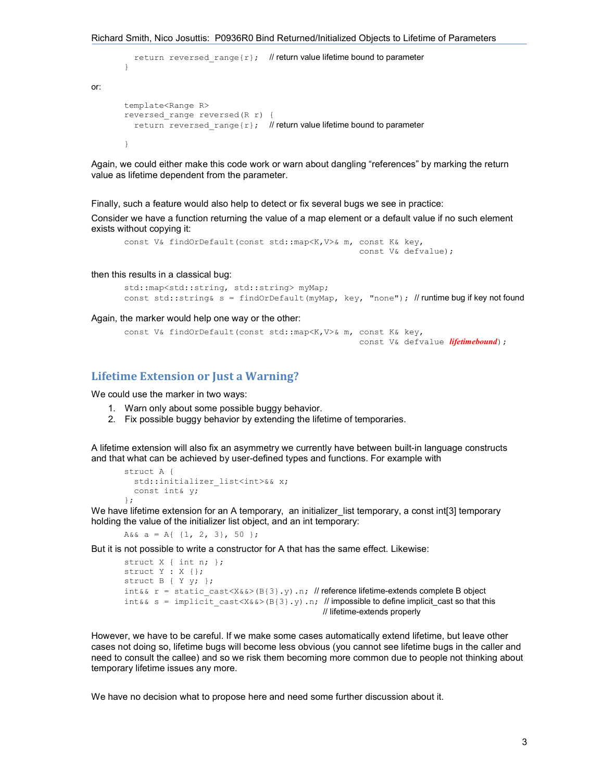```
return reversed range{r}; // return value lifetime bound to parameter
} 
template<Range R>
reversed_range reversed(R r) { 
  return reversed range{r}; // return value lifetime bound to parameter
}
```
Again, we could either make this code work or warn about dangling "references" by marking the return value as lifetime dependent from the parameter.

Finally, such a feature would also help to detect or fix several bugs we see in practice:

Consider we have a function returning the value of a map element or a default value if no such element exists without copying it:

```
const V& findOrDefault(const std::map<K,V>& m, const K& key, 
                                                  const V& defvalue);
```
#### then this results in a classical bug:

or:

```
std::map<std::string, std::string> myMap; 
const std::string& s = findOrDefault(myMap, key, "none"); // runtime bug if key not found
```
#### Again, the marker would help one way or the other:

```
const V& findOrDefault(const std::map<K,V>& m, const K& key, 
                                                const V& defvalue lifetimebound);
```
## Lifetime Extension or Just a Warning?

We could use the marker in two ways:

- 1. Warn only about some possible buggy behavior.
- 2. Fix possible buggy behavior by extending the lifetime of temporaries.

A lifetime extension will also fix an asymmetry we currently have between built-in language constructs and that what can be achieved by user-defined types and functions. For example with

```
struct A { 
  std::initializer_list<int>&& x;
   const int& y; 
};
```
We have lifetime extension for an A temporary, an initializer list temporary, a const int[3] temporary holding the value of the initializer list object, and an int temporary:

A&& a = A{  $\{1, 2, 3\}$ , 50 };

But it is not possible to write a constructor for A that has the same effect. Likewise:

```
struct X { int n; };
struct Y : X {}; 
struct B { Y y; }; 
int&& r = static\_cast < X&> (B{3}, y) \ldots // reference lifetime-extends complete B object
int&& s = implicit cast<X&&>(B{3}.y).n; // impossible to define implicit cast so that this
                                                 // lifetime-extends properly
```
However, we have to be careful. If we make some cases automatically extend lifetime, but leave other cases not doing so, lifetime bugs will become less obvious (you cannot see lifetime bugs in the caller and need to consult the callee) and so we risk them becoming more common due to people not thinking about temporary lifetime issues any more.

We have no decision what to propose here and need some further discussion about it.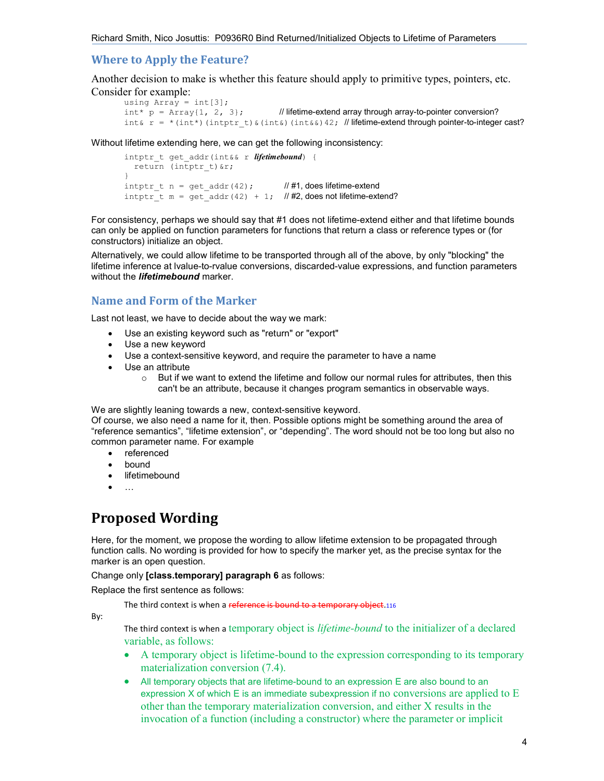## Where to Apply the Feature?

Another decision to make is whether this feature should apply to primitive types, pointers, etc. Consider for example:

```
using Array = int[3];
int^* p = Array{1, 2, 3}; // lifetime-extend array through array-to-pointer conversion?
int& r = *(int*)(intptr t)&(int&)(int&)42; // lifetime-extend through pointer-to-integer cast?
```
Without lifetime extending here, we can get the following inconsistency:

```
intptr t get addr(int&& r lifetimebound) {
   return (intptr_t)&r; 
} 
intptr t n = get addr(42); // #1, does lifetime-extend
intptr t m = get addr(42) + 1; \#2, does not lifetime-extend?
```
For consistency, perhaps we should say that #1 does not lifetime-extend either and that lifetime bounds can only be applied on function parameters for functions that return a class or reference types or (for constructors) initialize an object.

Alternatively, we could allow lifetime to be transported through all of the above, by only "blocking" the lifetime inference at lvalue-to-rvalue conversions, discarded-value expressions, and function parameters without the **lifetimebound** marker.

## Name and Form of the Marker

Last not least, we have to decide about the way we mark:

- Use an existing keyword such as "return" or "export"
- Use a new keyword
- Use a context-sensitive keyword, and require the parameter to have a name
- Use an attribute
	- $\circ$  But if we want to extend the lifetime and follow our normal rules for attributes, then this can't be an attribute, because it changes program semantics in observable ways.

We are slightly leaning towards a new, context-sensitive keyword.

Of course, we also need a name for it, then. Possible options might be something around the area of "reference semantics", "lifetime extension", or "depending". The word should not be too long but also no common parameter name. For example

- referenced
- bound
- lifetimebound
- 

# Proposed Wording

Here, for the moment, we propose the wording to allow lifetime extension to be propagated through function calls. No wording is provided for how to specify the marker yet, as the precise syntax for the marker is an open question.

Change only [class.temporary] paragraph 6 as follows:

Replace the first sentence as follows:

The third context is when a reference is bound to a temporary object.116

By:

The third context is when a temporary object is *lifetime-bound* to the initializer of a declared variable, as follows:

- A temporary object is lifetime-bound to the expression corresponding to its temporary materialization conversion (7.4).
- All temporary objects that are lifetime-bound to an expression E are also bound to an expression  $X$  of which  $E$  is an immediate subexpression if no conversions are applied to  $E$ other than the temporary materialization conversion, and either X results in the invocation of a function (including a constructor) where the parameter or implicit